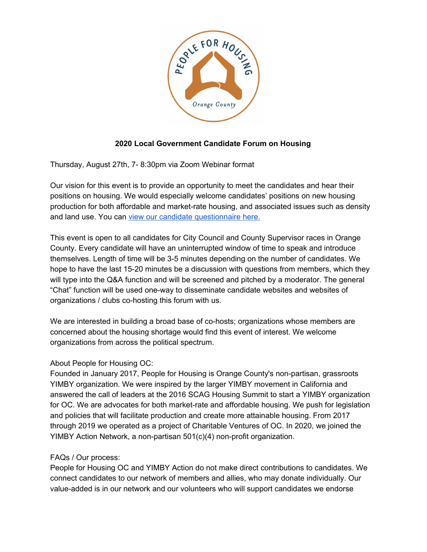

## **2020 Local Government Candidate Forum on Housing**

Thursday, August 27th, 7- 8:30pm via Zoom Webinar format

Our vision for this event is to provide an opportunity to meet the candidates and hear their positions on housing. We would especially welcome candidates' positions on new housing production for both affordable and market-rate housing, and associated issues such as density and land use. You can view our candidate [questionnaire](https://docs.google.com/forms/d/e/1FAIpQLSe4lNjWSw8R959J-lnyCGvM3mh5oPB6s44_pBTrBnVA_XUbFQ/viewform) here.

This event is open to all candidates for City Council and County Supervisor races in Orange County. Every candidate will have an uninterrupted window of time to speak and introduce themselves. Length of time will be 3-5 minutes depending on the number of candidates. We hope to have the last 15-20 minutes be a discussion with questions from members, which they will type into the Q&A function and will be screened and pitched by a moderator. The general "Chat" function will be used one-way to disseminate candidate websites and websites of organizations / clubs co-hosting this forum with us.

We are interested in building a broad base of co-hosts; organizations whose members are concerned about the housing shortage would find this event of interest. We welcome organizations from across the political spectrum.

## About People for Housing OC:

Founded in January 2017, People for Housing is Orange County's non-partisan, grassroots YIMBY organization. We were inspired by the larger YIMBY movement in California and answered the call of leaders at the 2016 SCAG Housing Summit to start a YIMBY organization for OC. We are advocates for both market-rate and affordable housing. We push for legislation and policies that will facilitate production and create more attainable housing. From 2017 through 2019 we operated as a project of Charitable Ventures of OC. In 2020, we joined the YIMBY Action Network, a non-partisan 501(c)(4) non-profit organization.

## FAQs / Our process:

People for Housing OC and YIMBY Action do not make direct contributions to candidates. We connect candidates to our network of members and allies, who may donate individually. Our value-added is in our network and our volunteers who will support candidates we endorse